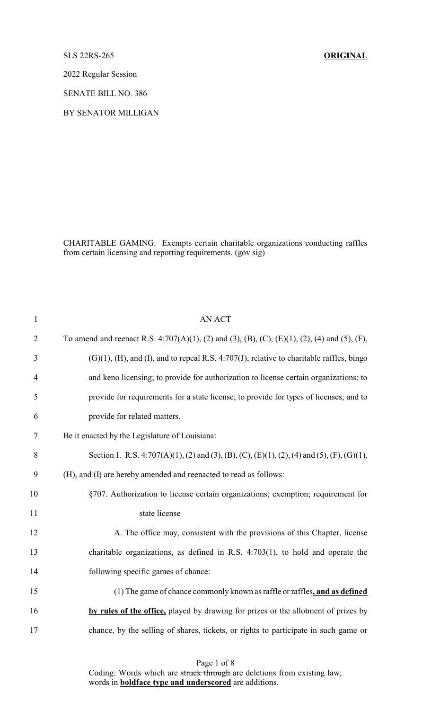SLS 22RS-265 **ORIGINAL**

2022 Regular Session

SENATE BILL NO. 386

BY SENATOR MILLIGAN

CHARITABLE GAMING. Exempts certain charitable organizations conducting raffles from certain licensing and reporting requirements. (gov sig)

| $\mathbf{1}$   | <b>AN ACT</b>                                                                                         |
|----------------|-------------------------------------------------------------------------------------------------------|
| $\overline{2}$ | To amend and reenact R.S. 4:707(A)(1), (2) and (3), (B), (C), (E)(1), (2), (4) and (5), (F),          |
| 3              | $(G)(1)$ , $(H)$ , and $(I)$ , and to repeal R.S. 4:707 $(J)$ , relative to charitable raffles, bingo |
| $\overline{4}$ | and keno licensing; to provide for authorization to license certain organizations; to                 |
| 5              | provide for requirements for a state license; to provide for types of licenses; and to                |
| 6              | provide for related matters.                                                                          |
| 7              | Be it enacted by the Legislature of Louisiana:                                                        |
| 8              | Section 1. R.S. 4:707(A)(1), (2) and (3), (B), (C), (E)(1), (2), (4) and (5), (F), (G)(1),            |
| 9              | (H), and (I) are hereby amended and reenacted to read as follows:                                     |
| 10             | §707. Authorization to license certain organizations; exemption; requirement for                      |
| 11             | state license                                                                                         |
| 12             | A. The office may, consistent with the provisions of this Chapter, license                            |
| 13             | charitable organizations, as defined in R.S. $4:703(1)$ , to hold and operate the                     |
| 14             | following specific games of chance:                                                                   |
| 15             | (1) The game of chance commonly known as raffle or raffles, and as defined                            |
| 16             | by rules of the office, played by drawing for prizes or the allotment of prizes by                    |
| 17             | chance, by the selling of shares, tickets, or rights to participate in such game or                   |
|                |                                                                                                       |

Page 1 of 8

Coding: Words which are struck through are deletions from existing law; words in **boldface type and underscored** are additions.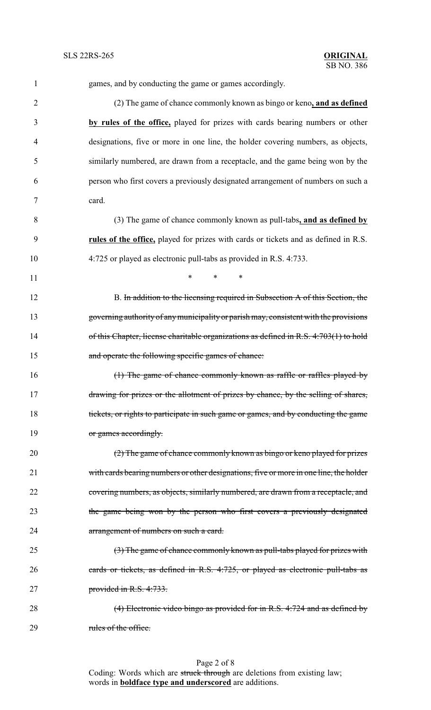| 1              | games, and by conducting the game or games accordingly.                                |
|----------------|----------------------------------------------------------------------------------------|
| $\overline{2}$ | (2) The game of chance commonly known as bingo or keno, and as defined                 |
| 3              | by rules of the office, played for prizes with cards bearing numbers or other          |
| $\overline{4}$ | designations, five or more in one line, the holder covering numbers, as objects,       |
| 5              | similarly numbered, are drawn from a receptacle, and the game being won by the         |
| 6              | person who first covers a previously designated arrangement of numbers on such a       |
| 7              | card.                                                                                  |
| 8              | (3) The game of chance commonly known as pull-tabs, and as defined by                  |
| 9              | rules of the office, played for prizes with cards or tickets and as defined in R.S.    |
| 10             | 4:725 or played as electronic pull-tabs as provided in R.S. 4:733.                     |
| 11             | $\ast$<br>$\ast$<br>$\ast$                                                             |
| 12             | B. In addition to the licensing required in Subsection A of this Section, the          |
| 13             | governing authority of any municipality or parish may, consistent with the provisions  |
| 14             | of this Chapter, license charitable organizations as defined in R.S. 4:703(1) to hold  |
| 15             | and operate the following specific games of chance:                                    |
| 16             | (1) The game of chance commonly known as raffle or raffles played by                   |
| 17             | drawing for prizes or the allotment of prizes by chance, by the selling of shares,     |
| 18             | tickets, or rights to participate in such game or games, and by conducting the game    |
| 19             | or games accordingly.                                                                  |
| 20             | (2) The game of chance commonly known as bingo or keno played for prizes               |
| 21             | with cards bearing numbers or other designations, five or more in one line, the holder |
| 22             | covering numbers, as objects, similarly numbered, are drawn from a receptacle, and     |
| 23             | the game being won by the person who first covers a previously designated              |
| 24             | arrangement of numbers on such a card.                                                 |
| 25             | (3) The game of chance commonly known as pull-tabs played for prizes with              |
| 26             | cards or tickets, as defined in R.S. 4:725, or played as electronic pull-tabs as       |
| 27             | provided in R.S. 4:733.                                                                |
| 28             | (4) Electronic video bingo as provided for in R.S. 4:724 and as defined by             |
|                |                                                                                        |

29 rules of the office.

Page 2 of 8 Coding: Words which are struck through are deletions from existing law; words in **boldface type and underscored** are additions.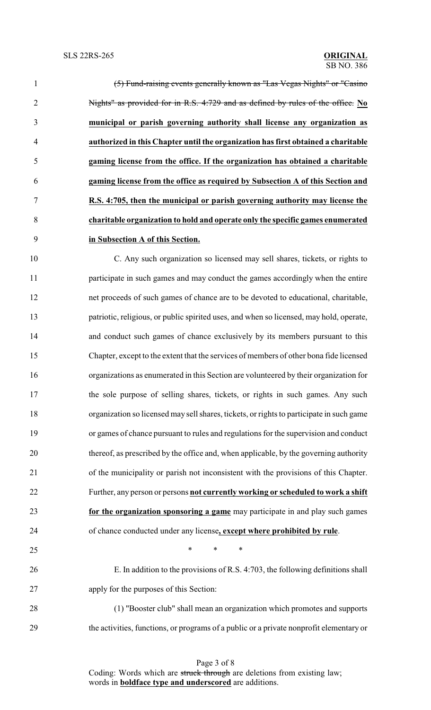|                | (5) Fund-raising events generally known as "Las Vegas Nights" or "Casino          |
|----------------|-----------------------------------------------------------------------------------|
| $\overline{2}$ | Nights" as provided for in R.S. 4:729 and as defined by rules of the office. No   |
| 3              | municipal or parish governing authority shall license any organization as         |
| 4              | authorized in this Chapter until the organization has first obtained a charitable |
| 5              | gaming license from the office. If the organization has obtained a charitable     |
| 6              | gaming license from the office as required by Subsection A of this Section and    |
| $\tau$         | R.S. 4:705, then the municipal or parish governing authority may license the      |
| 8              | charitable organization to hold and operate only the specific games enumerated    |
| 9              | in Subsection A of this Section.                                                  |
|                |                                                                                   |

 C. Any such organization so licensed may sell shares, tickets, or rights to participate in such games and may conduct the games accordingly when the entire net proceeds of such games of chance are to be devoted to educational, charitable, patriotic, religious, or public spirited uses, and when so licensed, may hold, operate, and conduct such games of chance exclusively by its members pursuant to this Chapter, except to the extent that the services of members of other bona fide licensed organizations as enumerated in this Section are volunteered by their organization for the sole purpose of selling shares, tickets, or rights in such games. Any such organization so licensed may sell shares, tickets, or rights to participate in such game or games of chance pursuant to rules and regulations for the supervision and conduct thereof, as prescribed by the office and, when applicable, by the governing authority of the municipality or parish not inconsistent with the provisions of this Chapter. Further, any person or persons **not currently working or scheduled to work a shift for the organization sponsoring a game** may participate in and play such games of chance conducted under any license**, except where prohibited by rule**.

 $\ast$   $\ast$   $\ast$   $\ast$ 

 E. In addition to the provisions of R.S. 4:703, the following definitions shall apply for the purposes of this Section:

 (1) "Booster club" shall mean an organization which promotes and supports the activities, functions, or programs of a public or a private nonprofit elementary or

> Page 3 of 8 Coding: Words which are struck through are deletions from existing law; words in **boldface type and underscored** are additions.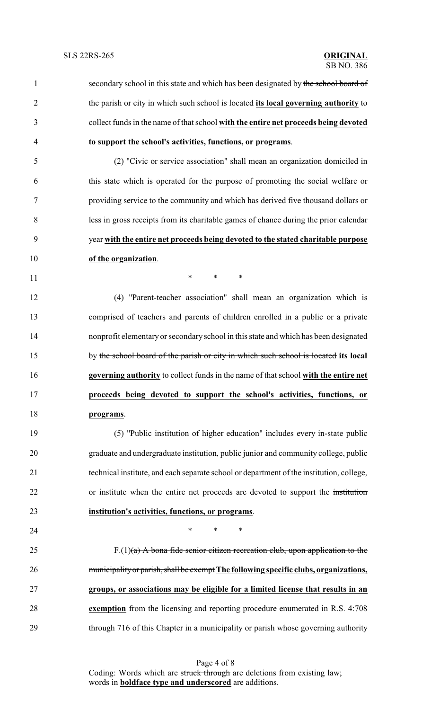1 secondary school in this state and which has been designated by the school board of the parish or city in which such school is located **its local governing authority** to collect funds in the name of that school **with the entire net proceeds being devoted to support the school's activities, functions, or programs**. (2) "Civic or service association" shall mean an organization domiciled in this state which is operated for the purpose of promoting the social welfare or providing service to the community and which has derived five thousand dollars or less in gross receipts from its charitable games of chance during the prior calendar year **with the entire net proceeds being devoted to the stated charitable purpose of the organization**. **\*** \* \* \* (4) "Parent-teacher association" shall mean an organization which is comprised of teachers and parents of children enrolled in a public or a private nonprofit elementaryor secondary school in this state and which has been designated by the school board of the parish or city in which such school is located **its local governing authority** to collect funds in the name of that school **with the entire net proceeds being devoted to support the school's activities, functions, or programs**. (5) "Public institution of higher education" includes every in-state public graduate and undergraduate institution, public junior and community college, public technical institute, and each separate school or department of the institution, college, or institute when the entire net proceeds are devoted to support the institution **institution's activities, functions, or programs**. **\*** \* \* \* 25 F.(1) $(a)$  A bona fide senior citizen recreation club, upon application to the municipalityor parish,shall be exempt **The following specific clubs, organizations, groups, or associations may be eligible for a limited license that results in an exemption** from the licensing and reporting procedure enumerated in R.S. 4:708 through 716 of this Chapter in a municipality or parish whose governing authority

Page 4 of 8 Coding: Words which are struck through are deletions from existing law; words in **boldface type and underscored** are additions.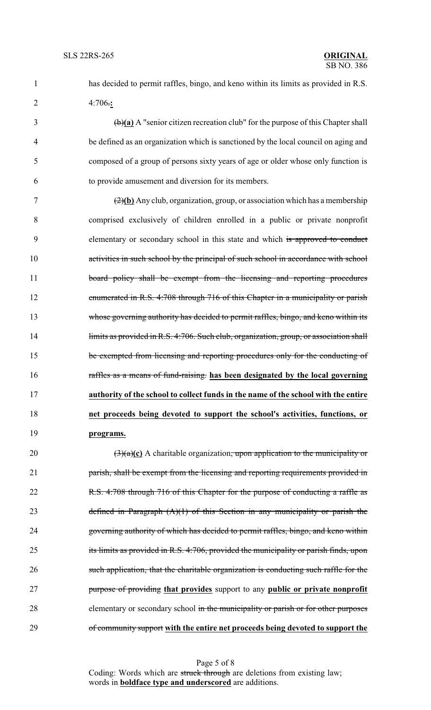1 has decided to permit raffles, bingo, and keno within its limits as provided in R.S. 2 4:706.**:**

 (b)**(a)** A "senior citizen recreation club" for the purpose of this Chapter shall be defined as an organization which is sanctioned by the local council on aging and composed of a group of persons sixty years of age or older whose only function is to provide amusement and diversion for its members.

 (2)**(b)** Any club, organization, group, or association which has a membership comprised exclusively of children enrolled in a public or private nonprofit 9 elementary or secondary school in this state and which is approved to conduct 10 activities in such school by the principal of such school in accordance with school 11 board policy shall be exempt from the licensing and reporting procedures enumerated in R.S. 4:708 through 716 of this Chapter in a municipality or parish whose governing authority has decided to permit raffles, bingo, and keno within its 14 limits as provided in R.S. 4:706. Such club, organization, group, or association shall be exempted from licensing and reporting procedures only for the conducting of raffles as a means of fund-raising. **has been designated by the local governing authority of the school to collect funds in the name of the school with the entire net proceeds being devoted to support the school's activities, functions, or programs.**

20  $\left(\frac{3}{a}\right)$  (3)(a)(c) A charitable organization, upon application to the municipality or 21 parish, shall be exempt from the licensing and reporting requirements provided in 22 R.S. 4:708 through 716 of this Chapter for the purpose of conducting a raffle as 23 defined in Paragraph  $(A)(1)$  of this Section in any municipality or parish the 24 governing authority of which has decided to permit raffles, bingo, and keno within 25 its limits as provided in R.S. 4:706, provided the municipality or parish finds, upon 26 such application, that the charitable organization is conducting such raffle for the 27 purpose of providing **that provides** support to any **public or private nonprofit** 28 elementary or secondary school in the municipality or parish or for other purposes 29 of community support **with the entire net proceeds being devoted to support the**

> Page 5 of 8 Coding: Words which are struck through are deletions from existing law; words in **boldface type and underscored** are additions.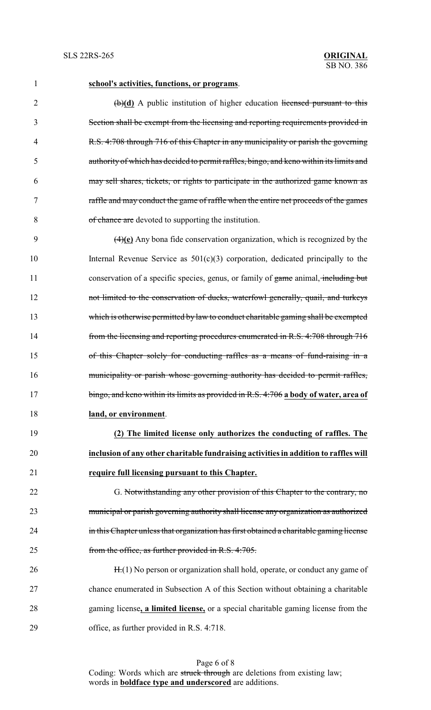### **school's activities, functions, or programs**.

2 (b)(d) A public institution of higher education licensed pursuant to this Section shall be exempt from the licensing and reporting requirements provided in R.S. 4:708 through 716 of this Chapter in any municipality or parish the governing authority of which has decided to permit raffles, bingo, and keno within its limits and may sell shares, tickets, or rights to participate in the authorized game known as raffle and may conduct the game of raffle when the entire net proceeds of the games of chance are devoted to supporting the institution.

 (4)**(e)** Any bona fide conservation organization, which is recognized by the Internal Revenue Service as 501(c)(3) corporation, dedicated principally to the 11 conservation of a specific species, genus, or family of game animal, including but not limited to the conservation of ducks, waterfowl generally, quail, and turkeys which is otherwise permitted by law to conduct charitable gaming shall be exempted from the licensing and reporting procedures enumerated in R.S. 4:708 through 716 of this Chapter solely for conducting raffles as a means of fund-raising in a municipality or parish whose governing authority has decided to permit raffles, bingo, and keno within its limits as provided in R.S. 4:706 **a body of water, area of land, or environment**.

 **(2) The limited license only authorizes the conducting of raffles. The inclusion of any other charitable fundraising activities in addition to raffles will require full licensing pursuant to this Chapter.**

22 G. Notwithstanding any other provision of this Chapter to the contrary, no municipal or parish governing authority shall license any organization as authorized 24 in this Chapter unless that organization has first obtained a charitable gaming license from the office, as further provided in R.S. 4:705.

26 H.(1) No person or organization shall hold, operate, or conduct any game of chance enumerated in Subsection A of this Section without obtaining a charitable gaming license**, a limited license,** or a special charitable gaming license from the office, as further provided in R.S. 4:718.

> Page 6 of 8 Coding: Words which are struck through are deletions from existing law; words in **boldface type and underscored** are additions.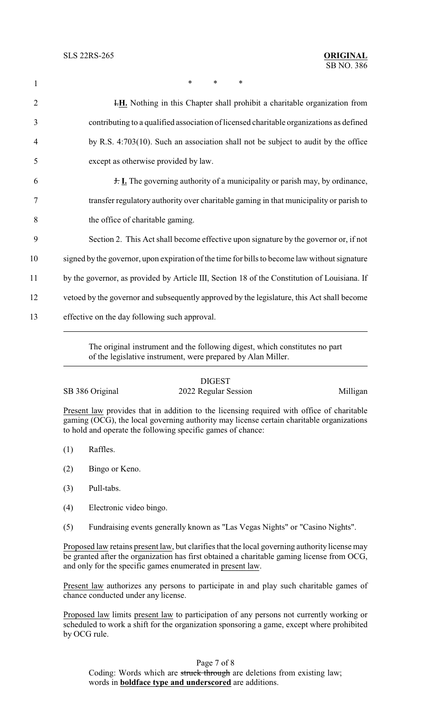1 \* \* \* \*

**I.H.** Nothing in this Chapter shall prohibit a charitable organization from contributing to a qualified association of licensed charitable organizations as defined by R.S. 4:703(10). Such an association shall not be subject to audit by the office except as otherwise provided by law. J. **I.** The governing authority of a municipality or parish may, by ordinance, transfer regulatory authority over charitable gaming in that municipality or parish to the office of charitable gaming. Section 2. This Act shall become effective upon signature by the governor or, if not signed by the governor, upon expiration of the time for bills to become law without signature 11 by the governor, as provided by Article III, Section 18 of the Constitution of Louisiana. If vetoed by the governor and subsequently approved by the legislature, this Act shall become effective on the day following such approval.

> The original instrument and the following digest, which constitutes no part of the legislative instrument, were prepared by Alan Miller.

## DIGEST

# SB 386 Original 2022 Regular Session Milligan

Present law provides that in addition to the licensing required with office of charitable gaming (OCG), the local governing authority may license certain charitable organizations to hold and operate the following specific games of chance:

- (1) Raffles.
- (2) Bingo or Keno.
- (3) Pull-tabs.
- (4) Electronic video bingo.
- (5) Fundraising events generally known as "Las Vegas Nights" or "Casino Nights".

Proposed law retains present law, but clarifies that the local governing authority license may be granted after the organization has first obtained a charitable gaming license from OCG, and only for the specific games enumerated in present law.

Present law authorizes any persons to participate in and play such charitable games of chance conducted under any license.

Proposed law limits present law to participation of any persons not currently working or scheduled to work a shift for the organization sponsoring a game, except where prohibited by OCG rule.

## Page 7 of 8

Coding: Words which are struck through are deletions from existing law; words in **boldface type and underscored** are additions.